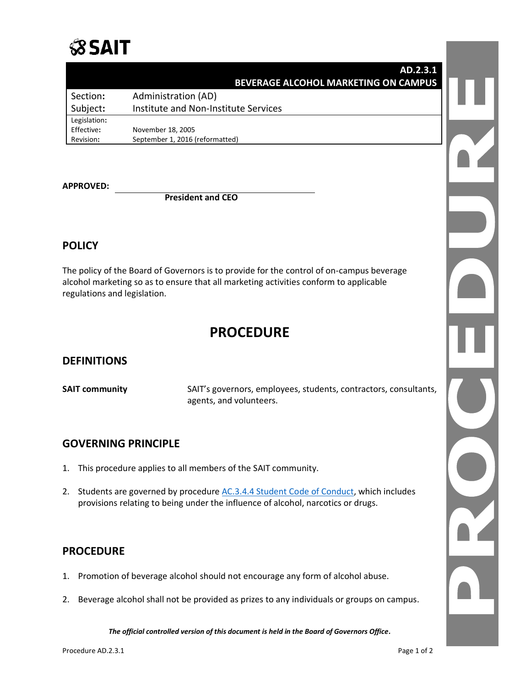# **SSAIT**

#### **AD.2.3.1 BEVERAGE ALCOHOL MARKETING ON CAMPUS** Section**:** Administration (AD) Subject**:** Institute and Non-Institute Services Legislation**:** Effective**:** November 18, 2005 Revision**:** September 1, 2016 (reformatted)

**APPROVED:**

**President and CEO**

## **POLICY**

The policy of the Board of Governors is to provide for the control of on-campus beverage alcohol marketing so as to ensure that all marketing activities conform to applicable regulations and legislation.

# **PROCEDURE**

## **DEFINITIONS**

**SAIT community** SAIT's governors, employees, students, contractors, consultants, agents, and volunteers.

#### **GOVERNING PRINCIPLE**

- 1. This procedure applies to all members of the SAIT community.
- 2. Students are governed by procedure AC.3.4.4 [Student Code of Conduct,](https://www.sait.ca/assets/documents/about-sait/policies-and-procedures/academic-student/ac-3-4-4-student-non-academic-conduct.pdf) which includes provisions relating to being under the influence of alcohol, narcotics or drugs.

#### **PROCEDURE**

- 1. Promotion of beverage alcohol should not encourage any form of alcohol abuse.
- 2. Beverage alcohol shall not be provided as prizes to any individuals or groups on campus.

*The official controlled version of this document is held in the Board of Governors Office.*